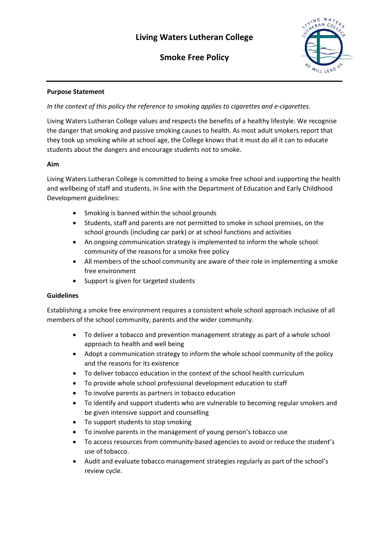**Smoke Free Policy**



## **Purpose Statement**

*In the context of this policy the reference to smoking applies to cigarettes and e-cigarettes.*

Living Waters Lutheran College values and respects the benefits of a healthy lifestyle. We recognise the danger that smoking and passive smoking causes to health. As most adult smokers report that they took up smoking while at school age, the College knows that it must do all it can to educate students about the dangers and encourage students not to smoke.

# **Aim**

Living Waters Lutheran College is committed to being a smoke free school and supporting the health and wellbeing of staff and students. In line with the Department of Education and Early Childhood Development guidelines:

- Smoking is banned within the school grounds
- Students, staff and parents are not permitted to smoke in school premises, on the school grounds (including car park) or at school functions and activities
- An ongoing communication strategy is implemented to inform the whole school community of the reasons for a smoke free policy
- All members of the school community are aware of their role in implementing a smoke free environment
- Support is given for targeted students

### **Guidelines**

Establishing a smoke free environment requires a consistent whole school approach inclusive of all members of the school community, parents and the wider community.

- To deliver a tobacco and prevention management strategy as part of a whole school approach to health and well being
- Adopt a communication strategy to inform the whole school community of the policy and the reasons for its existence
- To deliver tobacco education in the context of the school health curriculum
- To provide whole school professional development education to staff
- To involve parents as partners in tobacco education
- To identify and support students who are vulnerable to becoming regular smokers and be given intensive support and counselling
- To support students to stop smoking
- To involve parents in the management of young person's tobacco use
- To access resources from community-based agencies to avoid or reduce the student's use of tobacco.
- Audit and evaluate tobacco management strategies regularly as part of the school's review cycle.